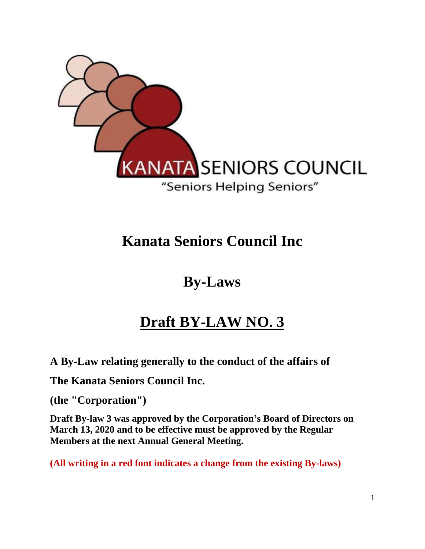

## **Kanata Seniors Council Inc**

## **By-Laws**

# **Draft BY-LAW NO. 3**

**A By-Law relating generally to the conduct of the affairs of** 

**The Kanata Seniors Council Inc.**

**(the "Corporation")** 

**Draft By-law 3 was approved by the Corporation's Board of Directors on March 13, 2020 and to be effective must be approved by the Regular Members at the next Annual General Meeting.**

**(All writing in a red font indicates a change from the existing By-laws)**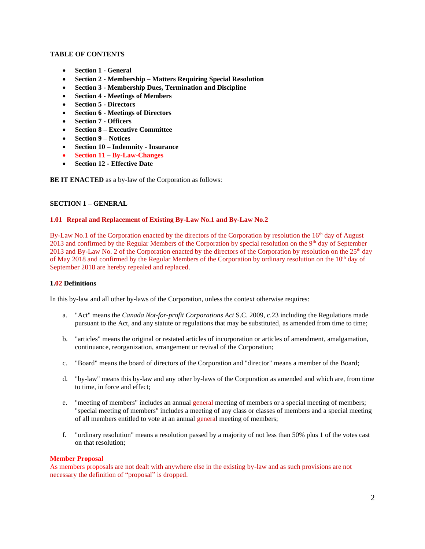## **TABLE OF CONTENTS**

- **Section 1 - General**
- **Section 2 - Membership – Matters Requiring Special Resolution**
- **Section 3 - Membership Dues, Termination and Discipline**
- **Section 4 - Meetings of Members**
- **Section 5 - Directors**
- **Section 6 - Meetings of Directors**
- **Section 7 - Officers**
- **Section 8 – Executive Committee**
- **Section 9 – Notices**
- **Section 10 – Indemnity - Insurance**
- **Section 11 – By-Law-Changes**
- **Section 12 - Effective Date**

**BE IT ENACTED** as a by-law of the Corporation as follows:

## **SECTION 1 – GENERAL**

#### **1.01 Repeal and Replacement of Existing By-Law No.1 and By-Law No.2**

By-Law No.1 of the Corporation enacted by the directors of the Corporation by resolution the 16<sup>th</sup> day of August 2013 and confirmed by the Regular Members of the Corporation by special resolution on the 9<sup>th</sup> day of September 2013 and By-Law No. 2 of the Corporation enacted by the directors of the Corporation by resolution on the 25<sup>th</sup> day of May 2018 and confirmed by the Regular Members of the Corporation by ordinary resolution on the 10<sup>th</sup> day of September 2018 are hereby repealed and replaced.

#### **1.02 Definitions**

In this by-law and all other by-laws of the Corporation, unless the context otherwise requires:

- a. "Act" means the *Canada Not-for-profit Corporations Act* S.C. 2009, c.23 including the Regulations made pursuant to the Act, and any statute or regulations that may be substituted, as amended from time to time;
- b. "articles" means the original or restated articles of incorporation or articles of amendment, amalgamation, continuance, reorganization, arrangement or revival of the Corporation;
- c. "Board" means the board of directors of the Corporation and "director" means a member of the Board;
- d. "by-law" means this by-law and any other by-laws of the Corporation as amended and which are, from time to time, in force and effect;
- e. "meeting of members" includes an annual general meeting of members or a special meeting of members; "special meeting of members" includes a meeting of any class or classes of members and a special meeting of all members entitled to vote at an annual general meeting of members;
- f. "ordinary resolution" means a resolution passed by a majority of not less than 50% plus 1 of the votes cast on that resolution;

#### **Member Proposal**

As members proposals are not dealt with anywhere else in the existing by-law and as such provisions are not necessary the definition of "proposal" is dropped.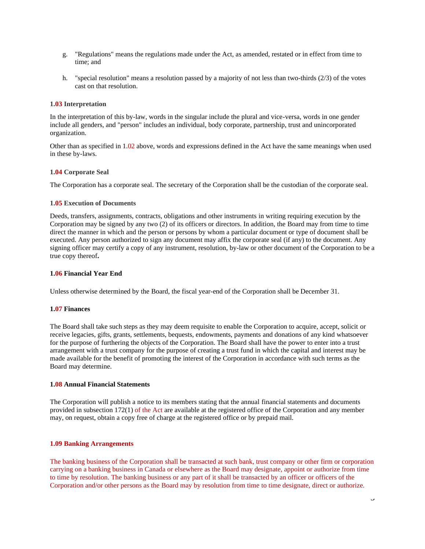- g. "Regulations" means the regulations made under the Act, as amended, restated or in effect from time to time; and
- h. "special resolution" means a resolution passed by a majority of not less than two-thirds (2/3) of the votes cast on that resolution.

#### **1.03 Interpretation**

In the interpretation of this by-law, words in the singular include the plural and vice-versa, words in one gender include all genders, and "person" includes an individual, body corporate, partnership, trust and unincorporated organization.

Other than as specified in 1.02 above, words and expressions defined in the Act have the same meanings when used in these by-laws.

## **1.04 Corporate Seal**

The Corporation has a corporate seal. The secretary of the Corporation shall be the custodian of the corporate seal.

#### **1.05 Execution of Documents**

Deeds, transfers, assignments, contracts, obligations and other instruments in writing requiring execution by the Corporation may be signed by any two (2) of its officers or directors. In addition, the Board may from time to time direct the manner in which and the person or persons by whom a particular document or type of document shall be executed. Any person authorized to sign any document may affix the corporate seal (if any) to the document. Any signing officer may certify a copy of any instrument, resolution, by-law or other document of the Corporation to be a true copy thereof**.**

#### **1.06 Financial Year End**

Unless otherwise determined by the Board, the fiscal year-end of the Corporation shall be December 31.

#### **1.07 Finances**

The Board shall take such steps as they may deem requisite to enable the Corporation to acquire, accept, solicit or receive legacies, gifts, grants, settlements, bequests, endowments, payments and donations of any kind whatsoever for the purpose of furthering the objects of the Corporation. The Board shall have the power to enter into a trust arrangement with a trust company for the purpose of creating a trust fund in which the capital and interest may be made available for the benefit of promoting the interest of the Corporation in accordance with such terms as the Board may determine.

#### **1.08 Annual Financial Statements**

The Corporation will publish a notice to its members stating that the annual financial statements and documents provided in subsection 172(1) of the Act are available at the registered office of the Corporation and any member may, on request, obtain a copy free of charge at the registered office or by prepaid mail.

#### **1.09 Banking Arrangements**

The banking business of the Corporation shall be transacted at such bank, trust company or other firm or corporation carrying on a banking business in Canada or elsewhere as the Board may designate, appoint or authorize from time to time by resolution. The banking business or any part of it shall be transacted by an officer or officers of the Corporation and/or other persons as the Board may by resolution from time to time designate, direct or authorize.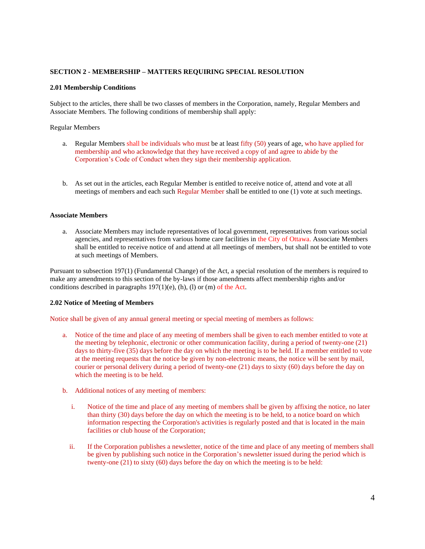### **SECTION 2 - MEMBERSHIP – MATTERS REQUIRING SPECIAL RESOLUTION**

#### **2.01 Membership Conditions**

Subject to the articles, there shall be two classes of members in the Corporation, namely, Regular Members and Associate Members. The following conditions of membership shall apply:

Regular Members

- a. Regular Members shall be individuals who must be at least fifty (50) years of age, who have applied for membership and who acknowledge that they have received a copy of and agree to abide by the Corporation's Code of Conduct when they sign their membership application.
- b. As set out in the articles, each Regular Member is entitled to receive notice of, attend and vote at all meetings of members and each such Regular Member shall be entitled to one (1) vote at such meetings.

#### **Associate Members**

a. Associate Members may include representatives of local government, representatives from various social agencies, and representatives from various home care facilities in the City of Ottawa. Associate Members shall be entitled to receive notice of and attend at all meetings of members, but shall not be entitled to vote at such meetings of Members.

Pursuant to subsection 197(1) (Fundamental Change) of the Act, a special resolution of the members is required to make any amendments to this section of the by-laws if those amendments affect membership rights and/or conditions described in paragraphs  $197(1)(e)$ , (h), (l) or (m) of the Act.

#### **2.02 Notice of Meeting of Members**

Notice shall be given of any annual general meeting or special meeting of members as follows:

- a. Notice of the time and place of any meeting of members shall be given to each member entitled to vote at the meeting by telephonic, electronic or other communication facility, during a period of twenty-one (21) days to thirty-five (35) days before the day on which the meeting is to be held. If a member entitled to vote at the meeting requests that the notice be given by non-electronic means, the notice will be sent by mail, courier or personal delivery during a period of twenty-one (21) days to sixty (60) days before the day on which the meeting is to be held.
- b. Additional notices of any meeting of members:
	- i. Notice of the time and place of any meeting of members shall be given by affixing the notice, no later than thirty (30) days before the day on which the meeting is to be held, to a notice board on which information respecting the Corporation's activities is regularly posted and that is located in the main facilities or club house of the Corporation;
	- ii. If the Corporation publishes a newsletter, notice of the time and place of any meeting of members shall be given by publishing such notice in the Corporation's newsletter issued during the period which is twenty-one (21) to sixty (60) days before the day on which the meeting is to be held: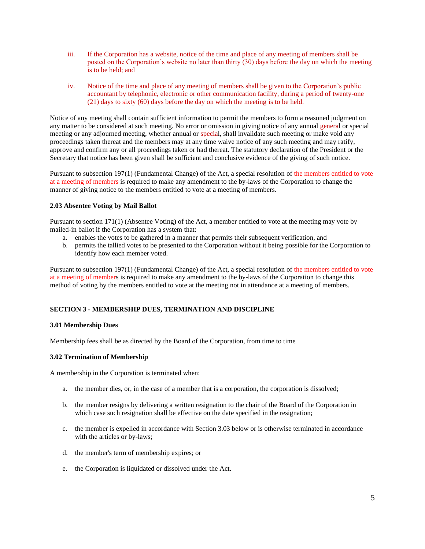- iii. If the Corporation has a website, notice of the time and place of any meeting of members shall be posted on the Corporation's website no later than thirty (30) days before the day on which the meeting is to be held; and
- iv. Notice of the time and place of any meeting of members shall be given to the Corporation's public accountant by telephonic, electronic or other communication facility, during a period of twenty-one (21) days to sixty (60) days before the day on which the meeting is to be held.

Notice of any meeting shall contain sufficient information to permit the members to form a reasoned judgment on any matter to be considered at such meeting. No error or omission in giving notice of any annual general or special meeting or any adjourned meeting, whether annual or special, shall invalidate such meeting or make void any proceedings taken thereat and the members may at any time waive notice of any such meeting and may ratify, approve and confirm any or all proceedings taken or had thereat. The statutory declaration of the President or the Secretary that notice has been given shall be sufficient and conclusive evidence of the giving of such notice.

Pursuant to subsection 197(1) (Fundamental Change) of the Act, a special resolution of the members entitled to vote at a meeting of members is required to make any amendment to the by-laws of the Corporation to change the manner of giving notice to the members entitled to vote at a meeting of members.

## **2.03 Absentee Voting by Mail Ballot**

Pursuant to section 171(1) (Absentee Voting) of the Act, a member entitled to vote at the meeting may vote by mailed-in ballot if the Corporation has a system that:

- a. enables the votes to be gathered in a manner that permits their subsequent verification, and
- b. permits the tallied votes to be presented to the Corporation without it being possible for the Corporation to identify how each member voted.

Pursuant to subsection 197(1) (Fundamental Change) of the Act, a special resolution of the members entitled to vote at a meeting of members is required to make any amendment to the by-laws of the Corporation to change this method of voting by the members entitled to vote at the meeting not in attendance at a meeting of members.

## **SECTION 3 - MEMBERSHIP DUES, TERMINATION AND DISCIPLINE**

## **3.01 Membership Dues**

Membership fees shall be as directed by the Board of the Corporation, from time to time

## **3.02 Termination of Membership**

A membership in the Corporation is terminated when:

- a. the member dies, or, in the case of a member that is a corporation, the corporation is dissolved;
- b. the member resigns by delivering a written resignation to the chair of the Board of the Corporation in which case such resignation shall be effective on the date specified in the resignation;
- c. the member is expelled in accordance with Section 3.03 below or is otherwise terminated in accordance with the articles or by-laws;
- d. the member's term of membership expires; or
- e. the Corporation is liquidated or dissolved under the Act.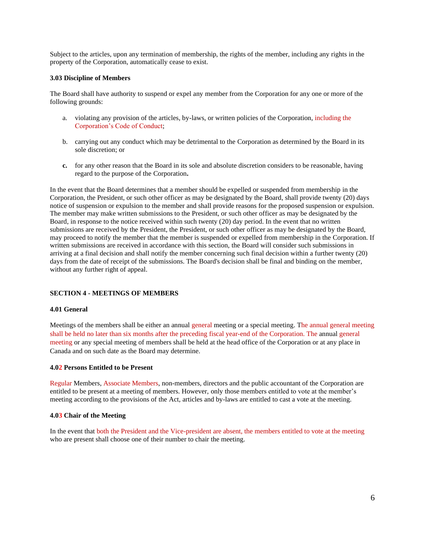Subject to the articles, upon any termination of membership, the rights of the member, including any rights in the property of the Corporation, automatically cease to exist.

## **3.03 Discipline of Members**

The Board shall have authority to suspend or expel any member from the Corporation for any one or more of the following grounds:

- a. violating any provision of the articles, by-laws, or written policies of the Corporation, including the Corporation's Code of Conduct;
- b. carrying out any conduct which may be detrimental to the Corporation as determined by the Board in its sole discretion; or
- **c.** for any other reason that the Board in its sole and absolute discretion considers to be reasonable, having regard to the purpose of the Corporation**.**

In the event that the Board determines that a member should be expelled or suspended from membership in the Corporation, the President, or such other officer as may be designated by the Board, shall provide twenty (20) days notice of suspension or expulsion to the member and shall provide reasons for the proposed suspension or expulsion. The member may make written submissions to the President, or such other officer as may be designated by the Board, in response to the notice received within such twenty (20) day period. In the event that no written submissions are received by the President, the President, or such other officer as may be designated by the Board, may proceed to notify the member that the member is suspended or expelled from membership in the Corporation. If written submissions are received in accordance with this section, the Board will consider such submissions in arriving at a final decision and shall notify the member concerning such final decision within a further twenty (20) days from the date of receipt of the submissions. The Board's decision shall be final and binding on the member, without any further right of appeal.

## **SECTION 4 - MEETINGS OF MEMBERS**

#### **4.01 General**

Meetings of the members shall be either an annual general meeting or a special meeting. The annual general meeting shall be held no later than six months after the preceding fiscal year-end of the Corporation. The annual general meeting or any special meeting of members shall be held at the head office of the Corporation or at any place in Canada and on such date as the Board may determine.

#### **4.02 Persons Entitled to be Present**

Regular Members, Associate Members, non-members, directors and the public accountant of the Corporation are entitled to be present at a meeting of members. However, only those members entitled to vote at the member's meeting according to the provisions of the Act, articles and by-laws are entitled to cast a vote at the meeting.

#### **4.03 Chair of the Meeting**

In the event that both the President and the Vice-president are absent, the members entitled to vote at the meeting who are present shall choose one of their number to chair the meeting.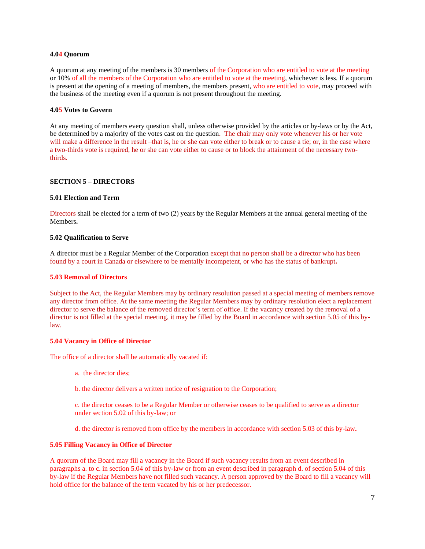#### **4.04 Quorum**

A quorum at any meeting of the members is 30 members of the Corporation who are entitled to vote at the meeting or 10% of all the members of the Corporation who are entitled to vote at the meeting, whichever is less. If a quorum is present at the opening of a meeting of members, the members present, who are entitled to vote, may proceed with the business of the meeting even if a quorum is not present throughout the meeting.

### **4.05 Votes to Govern**

At any meeting of members every question shall, unless otherwise provided by the articles or by-laws or by the Act, be determined by a majority of the votes cast on the question. The chair may only vote whenever his or her vote will make a difference in the result –that is, he or she can vote either to break or to cause a tie; or, in the case where a two-thirds vote is required, he or she can vote either to cause or to block the attainment of the necessary twothirds.

#### **SECTION 5 – DIRECTORS**

#### **5.01 Election and Term**

Directors shall be elected for a term of two (2) years by the Regular Members at the annual general meeting of the Members**.**

#### **5.02 Qualification to Serve**

A director must be a Regular Member of the Corporation except that no person shall be a director who has been found by a court in Canada or elsewhere to be mentally incompetent, or who has the status of bankrupt**.**

#### **5.03 Removal of Directors**

Subject to the Act, the Regular Members may by ordinary resolution passed at a special meeting of members remove any director from office. At the same meeting the Regular Members may by ordinary resolution elect a replacement director to serve the balance of the removed director's term of office. If the vacancy created by the removal of a director is not filled at the special meeting, it may be filled by the Board in accordance with section 5.05 of this bylaw.

#### **5.04 Vacancy in Office of Director**

The office of a director shall be automatically vacated if:

- a. the director dies;
- b. the director delivers a written notice of resignation to the Corporation;

c. the director ceases to be a Regular Member or otherwise ceases to be qualified to serve as a director under section 5.02 of this by-law; or

d. the director is removed from office by the members in accordance with section 5.03 of this by-law**.**

#### **5.05 Filling Vacancy in Office of Director**

A quorum of the Board may fill a vacancy in the Board if such vacancy results from an event described in paragraphs a. to c. in section 5.04 of this by-law or from an event described in paragraph d. of section 5.04 of this by-law if the Regular Members have not filled such vacancy. A person approved by the Board to fill a vacancy will hold office for the balance of the term vacated by his or her predecessor.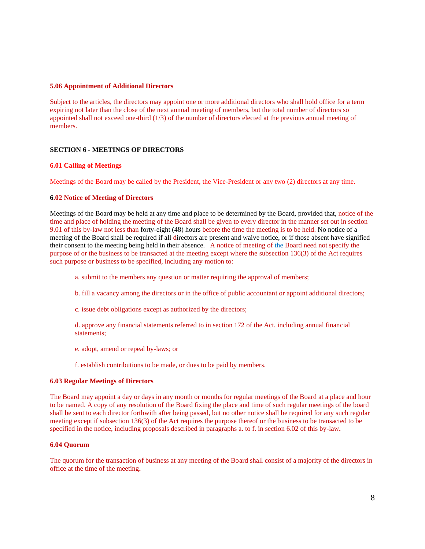#### **5.06 Appointment of Additional Directors**

Subject to the articles, the directors may appoint one or more additional directors who shall hold office for a term expiring not later than the close of the next annual meeting of members, but the total number of directors so appointed shall not exceed one-third (1/3) of the number of directors elected at the previous annual meeting of members.

#### **SECTION 6 - MEETINGS OF DIRECTORS**

#### **6.01 Calling of Meetings**

Meetings of the Board may be called by the President, the Vice-President or any two (2) directors at any time.

#### **6.02 Notice of Meeting of Directors**

Meetings of the Board may be held at any time and place to be determined by the Board, provided that, notice of the time and place of holding the meeting of the Board shall be given to every director in the manner set out in section 9.01 of this by-law not less than forty-eight (48) hours before the time the meeting is to be held. No notice of a meeting of the Board shall be required if all directors are present and waive notice, or if those absent have signified their consent to the meeting being held in their absence. A notice of meeting of the Board need not specify the purpose of or the business to be transacted at the meeting except where the subsection 136(3) of the Act requires such purpose or business to be specified, including any motion to:

- a. submit to the members any question or matter requiring the approval of members;
- b. fill a vacancy among the directors or in the office of public accountant or appoint additional directors;
- c. issue debt obligations except as authorized by the directors;
- d. approve any financial statements referred to in section 172 of the Act, including annual financial statements;
- e. adopt, amend or repeal by-laws; or
- f. establish contributions to be made, or dues to be paid by members.

## **6.03 Regular Meetings of Directors**

The Board may appoint a day or days in any month or months for regular meetings of the Board at a place and hour to be named. A copy of any resolution of the Board fixing the place and time of such regular meetings of the board shall be sent to each director forthwith after being passed, but no other notice shall be required for any such regular meeting except if subsection 136(3) of the Act requires the purpose thereof or the business to be transacted to be specified in the notice, including proposals described in paragraphs a. to f. in section 6.02 of this by-law**.**

#### **6.04 Quorum**

The quorum for the transaction of business at any meeting of the Board shall consist of a majority of the directors in office at the time of the meeting**.**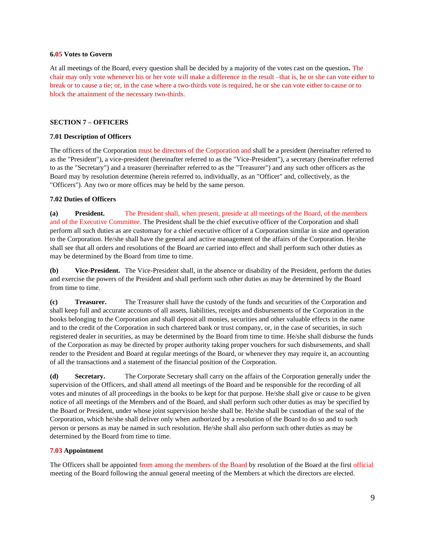#### **6.05 Votes to Govern**

At all meetings of the Board, every question shall be decided by a majority of the votes cast on the question**.** The chair may only vote whenever his or her vote will make a difference in the result –that is, he or she can vote either to break or to cause a tie; or, in the case where a two-thirds vote is required, he or she can vote either to cause or to block the attainment of the necessary two-thirds.

## **SECTION 7 – OFFICERS**

## **7.01 Description of Officers**

The officers of the Corporation must be directors of the Corporation and shall be a president (hereinafter referred to as the "President"), a vice-president (hereinafter referred to as the "Vice-President"), a secretary (hereinafter referred to as the "Secretary") and a treasurer (hereinafter referred to as the "Treasurer") and any such other officers as the Board may by resolution determine (herein referred to, individually, as an "Officer" and, collectively, as the "Officers"). Any two or more offices may be held by the same person.

## **7.02 Duties of Officers**

**(a) President.** The President shall, when present, preside at all meetings of the Board, of the members and of the Executive Committee. The President shall be the chief executive officer of the Corporation and shall perform all such duties as are customary for a chief executive officer of a Corporation similar in size and operation to the Corporation. He/she shall have the general and active management of the affairs of the Corporation. He/she shall see that all orders and resolutions of the Board are carried into effect and shall perform such other duties as may be determined by the Board from time to time.

**(b) Vice-President.** The Vice-President shall, in the absence or disability of the President, perform the duties and exercise the powers of the President and shall perform such other duties as may be determined by the Board from time to time.

**(c) Treasurer.** The Treasurer shall have the custody of the funds and securities of the Corporation and shall keep full and accurate accounts of all assets, liabilities, receipts and disbursements of the Corporation in the books belonging to the Corporation and shall deposit all monies, securities and other valuable effects in the name and to the credit of the Corporation in such chartered bank or trust company, or, in the case of securities, in such registered dealer in securities, as may be determined by the Board from time to time. He/she shall disburse the funds of the Corporation as may be directed by proper authority taking proper vouchers for such disbursements, and shall render to the President and Board at regular meetings of the Board, or whenever they may require it, an accounting of all the transactions and a statement of the financial position of the Corporation.

**(d) Secretary.** The Corporate Secretary shall carry on the affairs of the Corporation generally under the supervision of the Officers, and shall attend all meetings of the Board and be responsible for the recording of all votes and minutes of all proceedings in the books to be kept for that purpose. He/she shall give or cause to be given notice of all meetings of the Members and of the Board, and shall perform such other duties as may be specified by the Board or President, under whose joint supervision he/she shall be. He/she shall be custodian of the seal of the Corporation, which he/she shall deliver only when authorized by a resolution of the Board to do so and to such person or persons as may be named in such resolution. He/she shall also perform such other duties as may be determined by the Board from time to time.

## **7.03 Appointment**

The Officers shall be appointed from among the members of the Board by resolution of the Board at the first official meeting of the Board following the annual general meeting of the Members at which the directors are elected.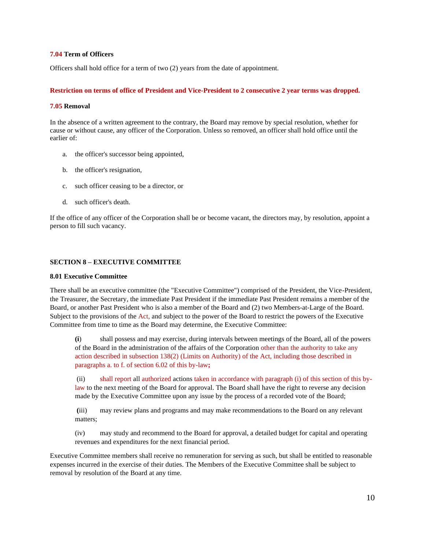## **7.04 Term of Officers**

Officers shall hold office for a term of two (2) years from the date of appointment.

#### **Restriction on terms of office of President and Vice-President to 2 consecutive 2 year terms was dropped.**

### **7.05 Removal**

In the absence of a written agreement to the contrary, the Board may remove by special resolution, whether for cause or without cause, any officer of the Corporation. Unless so removed, an officer shall hold office until the earlier of:

- a. the officer's successor being appointed,
- b. the officer's resignation,
- c. such officer ceasing to be a director, or
- d. such officer's death.

If the office of any officer of the Corporation shall be or become vacant, the directors may, by resolution, appoint a person to fill such vacancy.

## **SECTION 8 – EXECUTIVE COMMITTEE**

#### **8.01 Executive Committee**

There shall be an executive committee (the "Executive Committee") comprised of the President, the Vice-President, the Treasurer, the Secretary, the immediate Past President if the immediate Past President remains a member of the Board, or another Past President who is also a member of the Board and (2) two Members-at-Large of the Board. Subject to the provisions of the Act, and subject to the power of the Board to restrict the powers of the Executive Committee from time to time as the Board may determine, the Executive Committee:

**(i**) shall possess and may exercise, during intervals between meetings of the Board, all of the powers of the Board in the administration of the affairs of the Corporation other than the authority to take any action described in subsection 138(2) (Limits on Authority) of the Act, including those described in paragraphs a. to f. of section 6.02 of this by-law**;**

(ii) shall report all authorized actions taken in accordance with paragraph (i) of this section of this bylaw to the next meeting of the Board for approval. The Board shall have the right to reverse any decision made by the Executive Committee upon any issue by the process of a recorded vote of the Board;

**(**iii) may review plans and programs and may make recommendations to the Board on any relevant matters;

(iv) may study and recommend to the Board for approval, a detailed budget for capital and operating revenues and expenditures for the next financial period.

Executive Committee members shall receive no remuneration for serving as such, but shall be entitled to reasonable expenses incurred in the exercise of their duties. The Members of the Executive Committee shall be subject to removal by resolution of the Board at any time.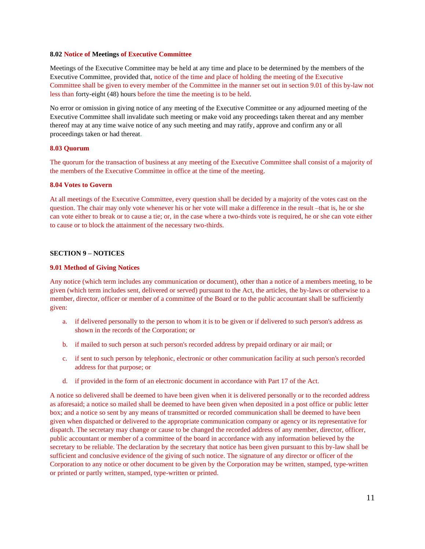#### **8.02 Notice of Meetings of Executive Committee**

Meetings of the Executive Committee may be held at any time and place to be determined by the members of the Executive Committee, provided that, notice of the time and place of holding the meeting of the Executive Committee shall be given to every member of the Committee in the manner set out in section 9.01 of this by-law not less than forty-eight (48) hours before the time the meeting is to be held.

No error or omission in giving notice of any meeting of the Executive Committee or any adjourned meeting of the Executive Committee shall invalidate such meeting or make void any proceedings taken thereat and any member thereof may at any time waive notice of any such meeting and may ratify, approve and confirm any or all proceedings taken or had thereat.

#### **8.03 Quorum**

The quorum for the transaction of business at any meeting of the Executive Committee shall consist of a majority of the members of the Executive Committee in office at the time of the meeting.

#### **8.04 Votes to Govern**

At all meetings of the Executive Committee, every question shall be decided by a majority of the votes cast on the question. The chair may only vote whenever his or her vote will make a difference in the result –that is, he or she can vote either to break or to cause a tie; or, in the case where a two-thirds vote is required, he or she can vote either to cause or to block the attainment of the necessary two-thirds.

## **SECTION 9 – NOTICES**

#### **9.01 Method of Giving Notices**

Any notice (which term includes any communication or document), other than a notice of a members meeting, to be given (which term includes sent, delivered or served) pursuant to the Act, the articles, the by-laws or otherwise to a member, director, officer or member of a committee of the Board or to the public accountant shall be sufficiently given:

- a. if delivered personally to the person to whom it is to be given or if delivered to such person's address as shown in the records of the Corporation; or
- b. if mailed to such person at such person's recorded address by prepaid ordinary or air mail; or
- c. if sent to such person by telephonic, electronic or other communication facility at such person's recorded address for that purpose; or
- d. if provided in the form of an electronic document in accordance with Part 17 of the Act.

A notice so delivered shall be deemed to have been given when it is delivered personally or to the recorded address as aforesaid; a notice so mailed shall be deemed to have been given when deposited in a post office or public letter box; and a notice so sent by any means of transmitted or recorded communication shall be deemed to have been given when dispatched or delivered to the appropriate communication company or agency or its representative for dispatch. The secretary may change or cause to be changed the recorded address of any member, director, officer, public accountant or member of a committee of the board in accordance with any information believed by the secretary to be reliable. The declaration by the secretary that notice has been given pursuant to this by-law shall be sufficient and conclusive evidence of the giving of such notice. The signature of any director or officer of the Corporation to any notice or other document to be given by the Corporation may be written, stamped, type-written or printed or partly written, stamped, type-written or printed.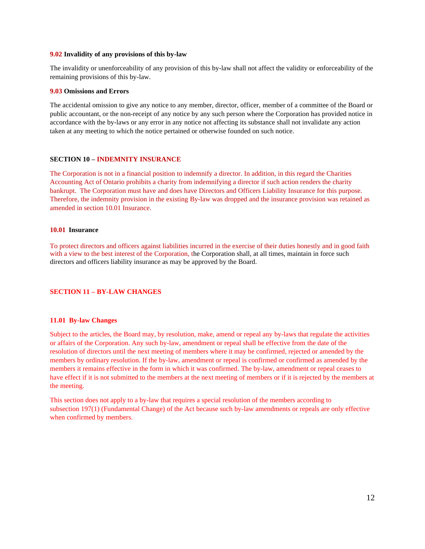#### **9.02 Invalidity of any provisions of this by-law**

The invalidity or unenforceability of any provision of this by-law shall not affect the validity or enforceability of the remaining provisions of this by-law.

#### **9.03 Omissions and Errors**

The accidental omission to give any notice to any member, director, officer, member of a committee of the Board or public accountant, or the non-receipt of any notice by any such person where the Corporation has provided notice in accordance with the by-laws or any error in any notice not affecting its substance shall not invalidate any action taken at any meeting to which the notice pertained or otherwise founded on such notice.

#### **SECTION 10 – INDEMNITY INSURANCE**

The Corporation is not in a financial position to indemnify a director. In addition, in this regard the Charities Accounting Act of Ontario prohibits a charity from indemnifying a director if such action renders the charity bankrupt. The Corporation must have and does have Directors and Officers Liability Insurance for this purpose. Therefore, the indemnity provision in the existing By-law was dropped and the insurance provision was retained as amended in section 10.01 Insurance.

#### **10.01 Insurance**

To protect directors and officers against liabilities incurred in the exercise of their duties honestly and in good faith with a view to the best interest of the Corporation, the Corporation shall, at all times, maintain in force such directors and officers liability insurance as may be approved by the Board.

#### **SECTION 11 – BY-LAW CHANGES**

#### **11.01 By-law Changes**

Subject to the articles, the Board may, by resolution, make, amend or repeal any by-laws that regulate the activities or affairs of the Corporation. Any such by-law, amendment or repeal shall be effective from the date of the resolution of directors until the next meeting of members where it may be confirmed, rejected or amended by the members by ordinary resolution. If the by-law, amendment or repeal is confirmed or confirmed as amended by the members it remains effective in the form in which it was confirmed. The by-law, amendment or repeal ceases to have effect if it is not submitted to the members at the next meeting of members or if it is rejected by the members at the meeting.

This section does not apply to a by-law that requires a special resolution of the members according to subsection 197(1) (Fundamental Change) of the Act because such by-law amendments or repeals are only effective when confirmed by members.